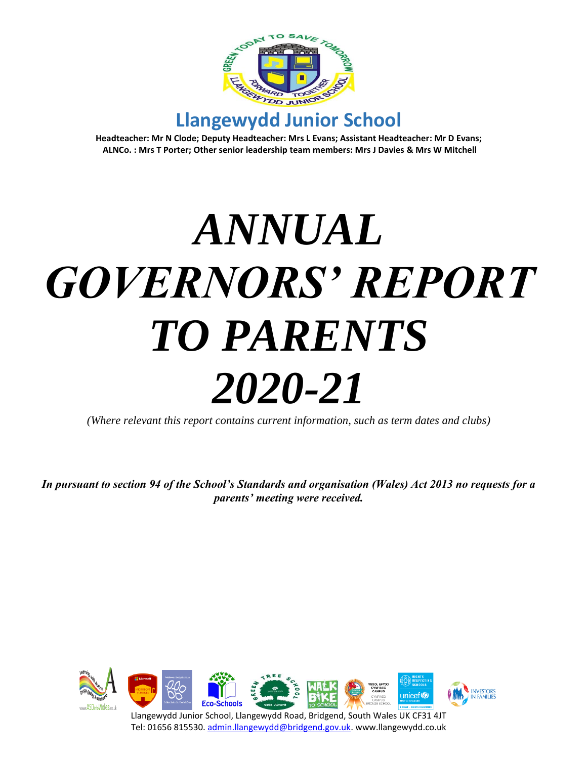

**Headteacher: Mr N Clode; Deputy Headteacher: Mrs L Evans; Assistant Headteacher: Mr D Evans; ALNCo. : Mrs T Porter; Other senior leadership team members: Mrs J Davies & Mrs W Mitchell**

# *ANNUAL GOVERNORS' REPORT TO PARENTS 2020-21*

*(Where relevant this report contains current information, such as term dates and clubs)*

*In pursuant to section 94 of the School's Standards and organisation (Wales) Act 2013 no requests for a parents' meeting were received.*

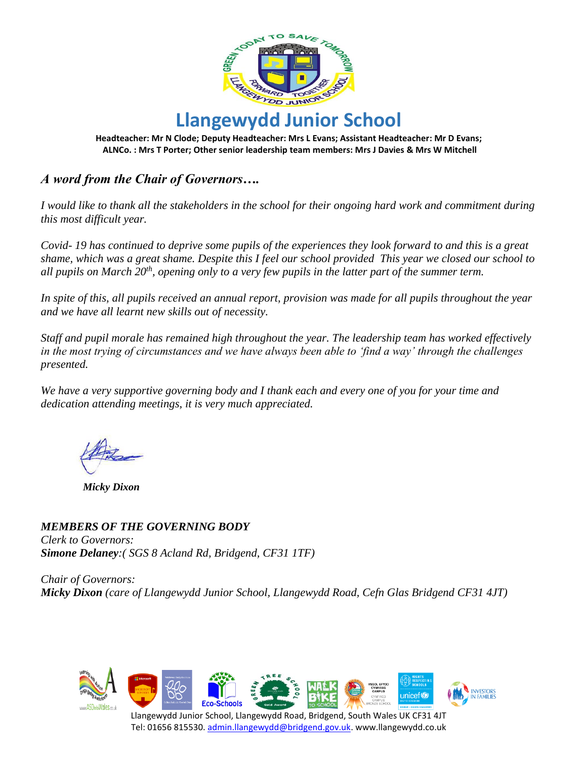

**Headteacher: Mr N Clode; Deputy Headteacher: Mrs L Evans; Assistant Headteacher: Mr D Evans; ALNCo. : Mrs T Porter; Other senior leadership team members: Mrs J Davies & Mrs W Mitchell**

## *A word from the Chair of Governors….*

*I would like to thank all the stakeholders in the school for their ongoing hard work and commitment during this most difficult year.*

*Covid- 19 has continued to deprive some pupils of the experiences they look forward to and this is a great shame, which was a great shame. Despite this I feel our school provided This year we closed our school to all pupils on March 20th, opening only to a very few pupils in the latter part of the summer term.*

*In spite of this, all pupils received an annual report, provision was made for all pupils throughout the year and we have all learnt new skills out of necessity.* 

*Staff and pupil morale has remained high throughout the year. The leadership team has worked effectively in the most trying of circumstances and we have always been able to 'find a way' through the challenges presented.* 

*We have a very supportive governing body and I thank each and every one of you for your time and dedication attending meetings, it is very much appreciated.* 

 *Micky Dixon*

*MEMBERS OF THE GOVERNING BODY Clerk to Governors: Simone Delaney:( SGS 8 Acland Rd, Bridgend, CF31 1TF)*

*Chair of Governors: Micky Dixon (care of Llangewydd Junior School, Llangewydd Road, Cefn Glas Bridgend CF31 4JT)*

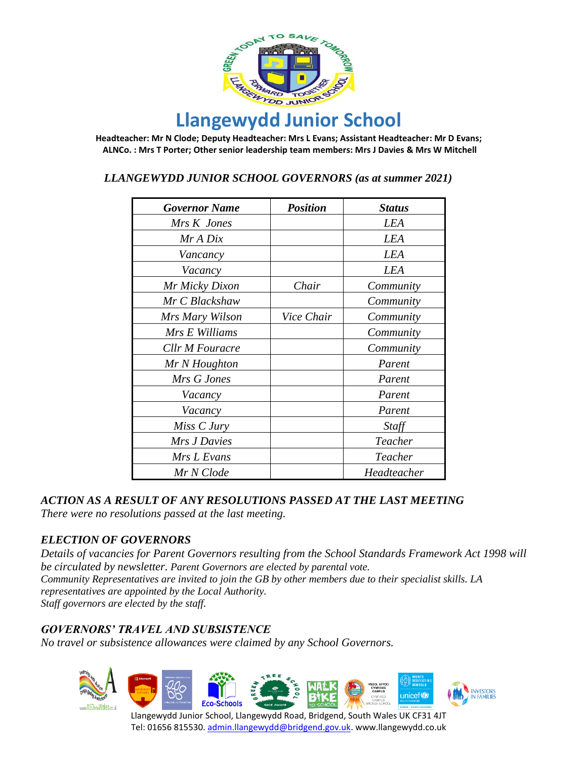

**Headteacher: Mr N Clode; Deputy Headteacher: Mrs L Evans; Assistant Headteacher: Mr D Evans; ALNCo. : Mrs T Porter; Other senior leadership team members: Mrs J Davies & Mrs W Mitchell**

 *LLANGEWYDD JUNIOR SCHOOL GOVERNORS (as at summer 2021)*

| <b>Governor Name</b>   | <b>Position</b> | <b>Status</b> |
|------------------------|-----------------|---------------|
| Mrs K Jones            |                 | LEA           |
| Mr A Dix               |                 | <b>LEA</b>    |
| Vancancy               |                 | LEA           |
| Vacancy                |                 | <b>LEA</b>    |
| Mr Micky Dixon         | Chair           | Community     |
| Mr C Blackshaw         |                 | Community     |
| Mrs Mary Wilson        | Vice Chair      | Community     |
| Mrs E Williams         |                 | Community     |
| <b>Cllr M Fouracre</b> |                 | Community     |
| Mr N Houghton          |                 | Parent        |
| Mrs G Jones            |                 | Parent        |
| Vacancy                |                 | Parent        |
| Vacancy                |                 | Parent        |
| Miss C Jury            |                 | Staff         |
| Mrs J Davies           |                 | Teacher       |
| Mrs L Evans            |                 | Teacher       |
| Mr N Clode             |                 | Headteacher   |

#### *ACTION AS A RESULT OF ANY RESOLUTIONS PASSED AT THE LAST MEETING*

*There were no resolutions passed at the last meeting.*

#### *ELECTION OF GOVERNORS*

*Details of vacancies for Parent Governors resulting from the School Standards Framework Act 1998 will be circulated by newsletter. Parent Governors are elected by parental vote. Community Representatives are invited to join the GB by other members due to their specialist skills. LA representatives are appointed by the Local Authority. Staff governors are elected by the staff.*

#### *GOVERNORS' TRAVEL AND SUBSISTENCE*

*No travel or subsistence allowances were claimed by any School Governors.*

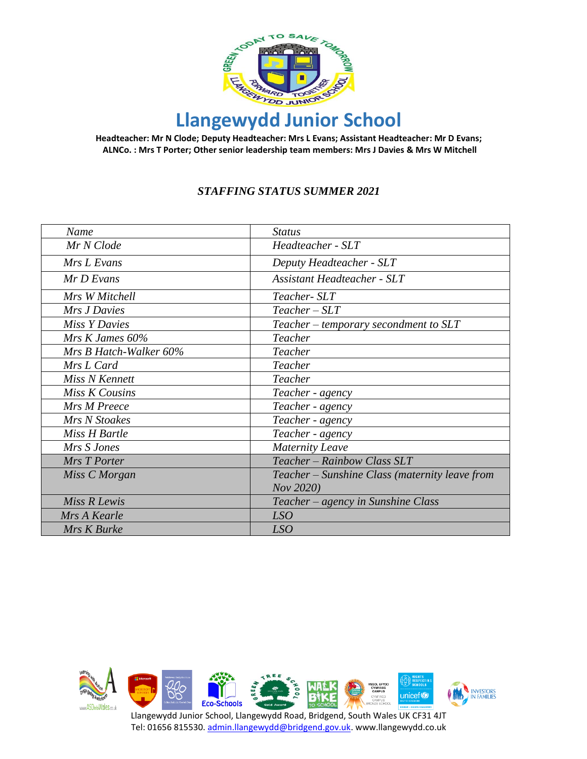

**Headteacher: Mr N Clode; Deputy Headteacher: Mrs L Evans; Assistant Headteacher: Mr D Evans; ALNCo. : Mrs T Porter; Other senior leadership team members: Mrs J Davies & Mrs W Mitchell**

#### *STAFFING STATUS SUMMER 2021*

| Name                   | <b>Status</b>                                  |
|------------------------|------------------------------------------------|
| Mr N Clode             | Headteacher - SLT                              |
| Mrs L Evans            | Deputy Headteacher - SLT                       |
| Mr D Evans             | <b>Assistant Headteacher - SLT</b>             |
| Mrs W Mitchell         | Teacher- SLT                                   |
| Mrs J Davies           | $Teacher - SLT$                                |
| <b>Miss Y Davies</b>   | Teacher – temporary secondment to SLT          |
| Mrs $K$ James 60%      | Teacher                                        |
| Mrs B Hatch-Walker 60% | Teacher                                        |
| Mrs L Card             | Teacher                                        |
| Miss N Kennett         | Teacher                                        |
| Miss K Cousins         | Teacher - agency                               |
| Mrs M Preece           | Teacher - agency                               |
| Mrs N Stoakes          | Teacher - agency                               |
| Miss H Bartle          | Teacher - agency                               |
| Mrs S Jones            | <b>Maternity Leave</b>                         |
| Mrs T Porter           | Teacher - Rainbow Class SLT                    |
| Miss C Morgan          | Teacher – Sunshine Class (maternity leave from |
|                        | Nov 2020)                                      |
| Miss R Lewis           | Teacher – agency in Sunshine Class             |
| Mrs A Kearle           | LSO                                            |
| Mrs K Burke            | LSO                                            |

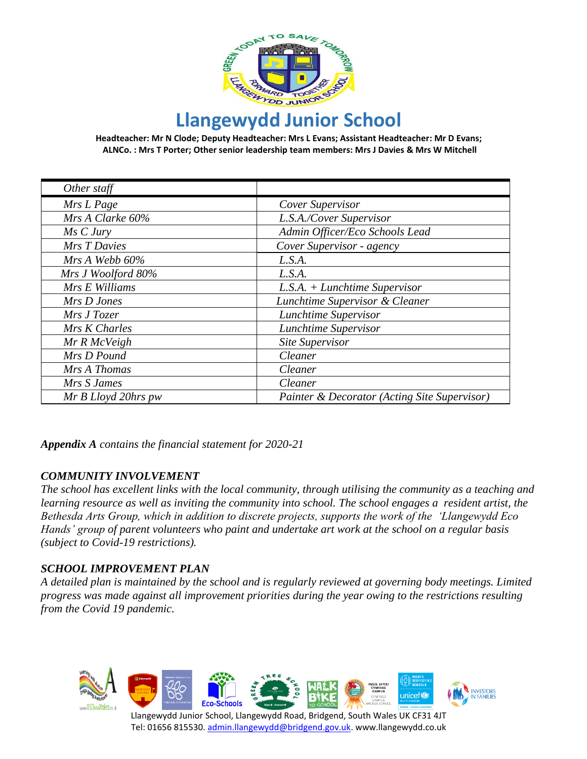

**Headteacher: Mr N Clode; Deputy Headteacher: Mrs L Evans; Assistant Headteacher: Mr D Evans; ALNCo. : Mrs T Porter; Other senior leadership team members: Mrs J Davies & Mrs W Mitchell**

| Other staff         |                                              |
|---------------------|----------------------------------------------|
| Mrs L Page          | Cover Supervisor                             |
| Mrs A Clarke 60%    | L.S.A./Cover Supervisor                      |
| Ms C Jury           | Admin Officer/Eco Schools Lead               |
| Mrs T Davies        | Cover Supervisor - agency                    |
| $MrsA$ Webb 60%     | L.S.A.                                       |
| Mrs J Woolford 80%  | L.S.A.                                       |
| Mrs E Williams      | $L.S.A. + Lunchtime\; Supervisor$            |
| Mrs D Jones         | Lunchtime Supervisor & Cleaner               |
| Mrs J Tozer         | Lunchtime Supervisor                         |
| Mrs K Charles       | Lunchtime Supervisor                         |
| Mr R McVeigh        | Site Supervisor                              |
| Mrs D Pound         | Cleaner                                      |
| Mrs A Thomas        | Cleaner                                      |
| Mrs S James         | Cleaner                                      |
| Mr B Lloyd 20hrs pw | Painter & Decorator (Acting Site Supervisor) |

*Appendix A contains the financial statement for 2020-21*

#### *COMMUNITY INVOLVEMENT*

*The school has excellent links with the local community, through utilising the community as a teaching and learning resource as well as inviting the community into school. The school engages a resident artist, the Bethesda Arts Group, which in addition to discrete projects, supports the work of the 'Llangewydd Eco Hands' group of parent volunteers who paint and undertake art work at the school on a regular basis (subject to Covid-19 restrictions).*

#### *SCHOOL IMPROVEMENT PLAN*

*A detailed plan is maintained by the school and is regularly reviewed at governing body meetings. Limited progress was made against all improvement priorities during the year owing to the restrictions resulting from the Covid 19 pandemic.*

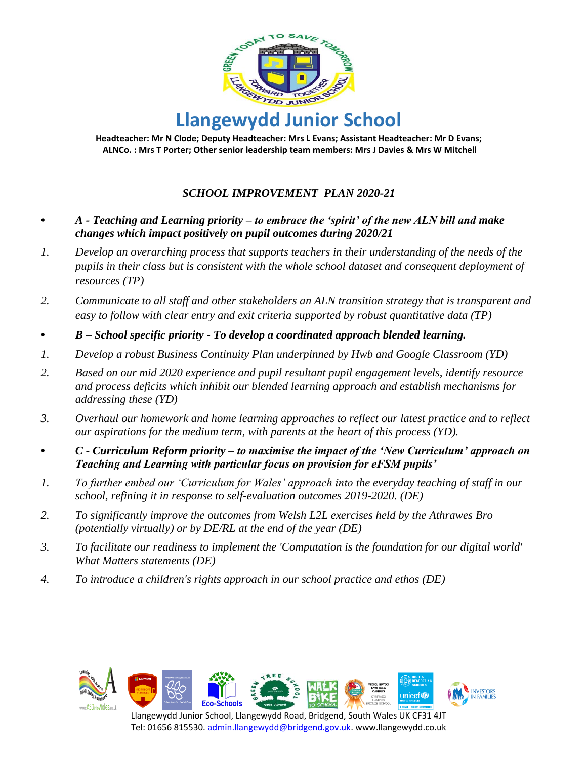

**Headteacher: Mr N Clode; Deputy Headteacher: Mrs L Evans; Assistant Headteacher: Mr D Evans; ALNCo. : Mrs T Porter; Other senior leadership team members: Mrs J Davies & Mrs W Mitchell**

## *SCHOOL IMPROVEMENT PLAN 2020-21*

- *• A - Teaching and Learning priority – to embrace the 'spirit' of the new ALN bill and make changes which impact positively on pupil outcomes during 2020/21*
- *1. Develop an overarching process that supports teachers in their understanding of the needs of the pupils in their class but is consistent with the whole school dataset and consequent deployment of resources (TP)*
- *2. Communicate to all staff and other stakeholders an ALN transition strategy that is transparent and easy to follow with clear entry and exit criteria supported by robust quantitative data (TP)*
- *• B – School specific priority - To develop a coordinated approach blended learning.*
- *1. Develop a robust Business Continuity Plan underpinned by Hwb and Google Classroom (YD)*
- *2. Based on our mid 2020 experience and pupil resultant pupil engagement levels, identify resource and process deficits which inhibit our blended learning approach and establish mechanisms for addressing these (YD)*
- *3. Overhaul our homework and home learning approaches to reflect our latest practice and to reflect our aspirations for the medium term, with parents at the heart of this process (YD).*
- *• C - Curriculum Reform priority – to maximise the impact of the 'New Curriculum' approach on Teaching and Learning with particular focus on provision for eFSM pupils'*
- *1. To further embed our 'Curriculum for Wales' approach into the everyday teaching of staff in our school, refining it in response to self-evaluation outcomes 2019-2020. (DE)*
- *2. To significantly improve the outcomes from Welsh L2L exercises held by the Athrawes Bro (potentially virtually) or by DE/RL at the end of the year (DE)*
- *3. To facilitate our readiness to implement the 'Computation is the foundation for our digital world' What Matters statements (DE)*
- *4. To introduce a children's rights approach in our school practice and ethos (DE)*

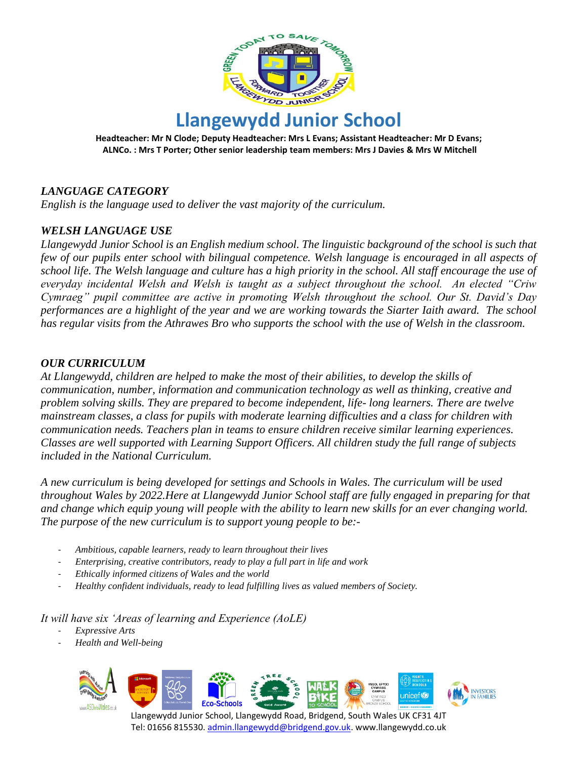

**Llangewydd Junior School Headteacher: Mr N Clode; Deputy Headteacher: Mrs L Evans; Assistant Headteacher: Mr D Evans;**

**ALNCo. : Mrs T Porter; Other senior leadership team members: Mrs J Davies & Mrs W Mitchell**

## *LANGUAGE CATEGORY*

*English is the language used to deliver the vast majority of the curriculum.*

## *WELSH LANGUAGE USE*

*Llangewydd Junior School is an English medium school. The linguistic background of the school is such that few of our pupils enter school with bilingual competence. Welsh language is encouraged in all aspects of school life. The Welsh language and culture has a high priority in the school. All staff encourage the use of everyday incidental Welsh and Welsh is taught as a subject throughout the school. An elected "Criw Cymraeg" pupil committee are active in promoting Welsh throughout the school. Our St. David's Day performances are a highlight of the year and we are working towards the Siarter Iaith award. The school has regular visits from the Athrawes Bro who supports the school with the use of Welsh in the classroom.*

#### *OUR CURRICULUM*

*At Llangewydd, children are helped to make the most of their abilities, to develop the skills of communication, number, information and communication technology as well as thinking, creative and problem solving skills. They are prepared to become independent, life- long learners. There are twelve mainstream classes, a class for pupils with moderate learning difficulties and a class for children with communication needs. Teachers plan in teams to ensure children receive similar learning experiences. Classes are well supported with Learning Support Officers. All children study the full range of subjects included in the National Curriculum.* 

*A new curriculum is being developed for settings and Schools in Wales. The curriculum will be used throughout Wales by 2022.Here at Llangewydd Junior School staff are fully engaged in preparing for that and change which equip young will people with the ability to learn new skills for an ever changing world. The purpose of the new curriculum is to support young people to be:-*

- *Ambitious, capable learners, ready to learn throughout their lives*
- *Enterprising, creative contributors, ready to play a full part in life and work*
- *Ethically informed citizens of Wales and the world*
- *Healthy confident individuals, ready to lead fulfilling lives as valued members of Society.*

*It will have six 'Areas of learning and Experience (AoLE)*

- *Expressive Arts*
- *Health and Well-being*

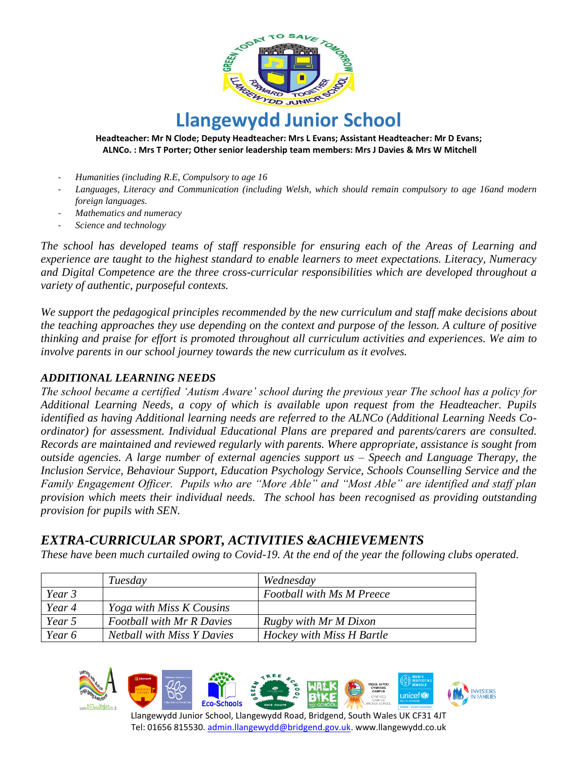

#### **Headteacher: Mr N Clode; Deputy Headteacher: Mrs L Evans; Assistant Headteacher: Mr D Evans; ALNCo. : Mrs T Porter; Other senior leadership team members: Mrs J Davies & Mrs W Mitchell**

- *Humanities (including R.E, Compulsory to age 16*
- *Languages, Literacy and Communication (including Welsh, which should remain compulsory to age 16and modern foreign languages.*
- *Mathematics and numeracy*
- *Science and technology*

*The school has developed teams of staff responsible for ensuring each of the Areas of Learning and experience are taught to the highest standard to enable learners to meet expectations. Literacy, Numeracy and Digital Competence are the three cross-curricular responsibilities which are developed throughout a variety of authentic, purposeful contexts.*

*We support the pedagogical principles recommended by the new curriculum and staff make decisions about the teaching approaches they use depending on the context and purpose of the lesson. A culture of positive thinking and praise for effort is promoted throughout all curriculum activities and experiences. We aim to involve parents in our school journey towards the new curriculum as it evolves.*

#### *ADDITIONAL LEARNING NEEDS*

*The school became a certified 'Autism Aware' school during the previous year The school has a policy for Additional Learning Needs, a copy of which is available upon request from the Headteacher. Pupils identified as having Additional learning needs are referred to the ALNCo (Additional Learning Needs Coordinator) for assessment. Individual Educational Plans are prepared and parents/carers are consulted. Records are maintained and reviewed regularly with parents. Where appropriate, assistance is sought from outside agencies. A large number of external agencies support us – Speech and Language Therapy, the Inclusion Service, Behaviour Support, Education Psychology Service, Schools Counselling Service and the Family Engagement Officer. Pupils who are "More Able" and "Most Able" are identified and staff plan provision which meets their individual needs. The school has been recognised as providing outstanding provision for pupils with SEN.*

### *EXTRA-CURRICULAR SPORT, ACTIVITIES &ACHIEVEMENTS*

*These have been much curtailed owing to Covid-19. At the end of the year the following clubs operated.* 

|          | Tuesday                           | Wednesday                        |
|----------|-----------------------------------|----------------------------------|
| Year 3   |                                   | <b>Football with Ms M Preece</b> |
| Year 4   | <i>Yoga with Miss K Cousins</i>   |                                  |
| Year 5   | <b>Football with Mr R Davies</b>  | Rugby with Mr M Dixon            |
| Year $6$ | <b>Netball with Miss Y Davies</b> | Hockey with Miss H Bartle        |

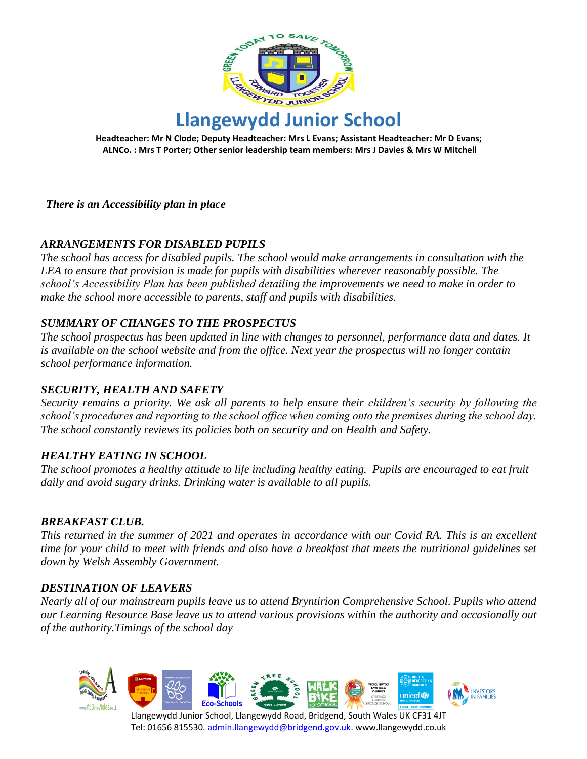

**Headteacher: Mr N Clode; Deputy Headteacher: Mrs L Evans; Assistant Headteacher: Mr D Evans; ALNCo. : Mrs T Porter; Other senior leadership team members: Mrs J Davies & Mrs W Mitchell**

*There is an Accessibility plan in place*

#### *ARRANGEMENTS FOR DISABLED PUPILS*

*The school has access for disabled pupils. The school would make arrangements in consultation with the LEA to ensure that provision is made for pupils with disabilities wherever reasonably possible. The school's Accessibility Plan has been published detailing the improvements we need to make in order to make the school more accessible to parents, staff and pupils with disabilities.*

#### *SUMMARY OF CHANGES TO THE PROSPECTUS*

*The school prospectus has been updated in line with changes to personnel, performance data and dates. It is available on the school website and from the office. Next year the prospectus will no longer contain school performance information.*

#### *SECURITY, HEALTH AND SAFETY*

*Security remains a priority. We ask all parents to help ensure their children's security by following the school's procedures and reporting to the school office when coming onto the premises during the school day. The school constantly reviews its policies both on security and on Health and Safety.*

#### *HEALTHY EATING IN SCHOOL*

*The school promotes a healthy attitude to life including healthy eating. Pupils are encouraged to eat fruit daily and avoid sugary drinks. Drinking water is available to all pupils.*

#### *BREAKFAST CLUB.*

*This returned in the summer of 2021 and operates in accordance with our Covid RA. This is an excellent time for your child to meet with friends and also have a breakfast that meets the nutritional guidelines set down by Welsh Assembly Government.* 

#### *DESTINATION OF LEAVERS*

*Nearly all of our mainstream pupils leave us to attend Bryntirion Comprehensive School. Pupils who attend our Learning Resource Base leave us to attend various provisions within the authority and occasionally out of the authority.Timings of the school day*

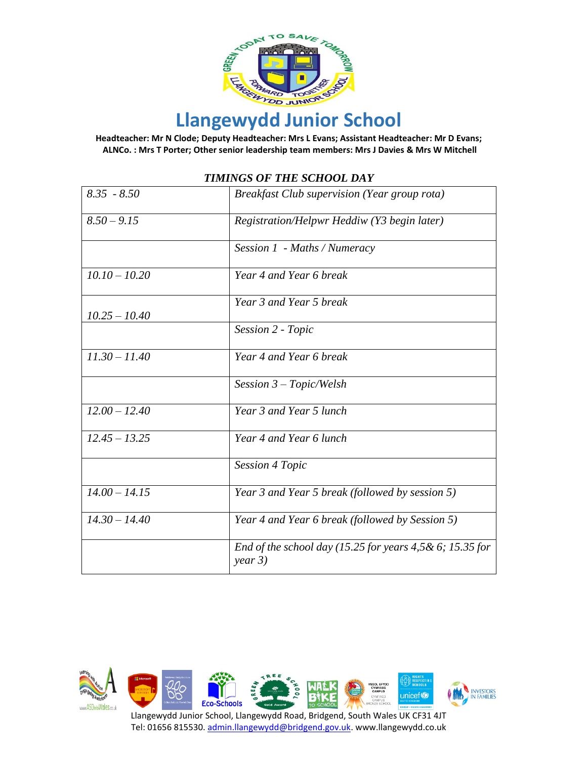

**Headteacher: Mr N Clode; Deputy Headteacher: Mrs L Evans; Assistant Headteacher: Mr D Evans; ALNCo. : Mrs T Porter; Other senior leadership team members: Mrs J Davies & Mrs W Mitchell**

| $8.35 - 8.50$   | <b>Breakfast Club supervision (Year group rota)</b>                     |
|-----------------|-------------------------------------------------------------------------|
| $8.50 - 9.15$   | Registration/Helpwr Heddiw (Y3 begin later)                             |
|                 | Session 1 - Maths / Numeracy                                            |
| $10.10 - 10.20$ | Year 4 and Year 6 break                                                 |
| $10.25 - 10.40$ | Year 3 and Year 5 break                                                 |
|                 | Session 2 - Topic                                                       |
| $11.30 - 11.40$ | Year 4 and Year 6 break                                                 |
|                 | Session $3$ – Topic/Welsh                                               |
| $12.00 - 12.40$ | Year 3 and Year 5 lunch                                                 |
| $12.45 - 13.25$ | Year 4 and Year 6 lunch                                                 |
|                 | <b>Session 4 Topic</b>                                                  |
| $14.00 - 14.15$ | Year 3 and Year 5 break (followed by session 5)                         |
| $14.30 - 14.40$ | Year 4 and Year 6 break (followed by Session 5)                         |
|                 | End of the school day (15.25 for years $4,5 & 6$ ; 15.35 for<br>year 3) |

#### *TIMINGS OF THE SCHOOL DAY*

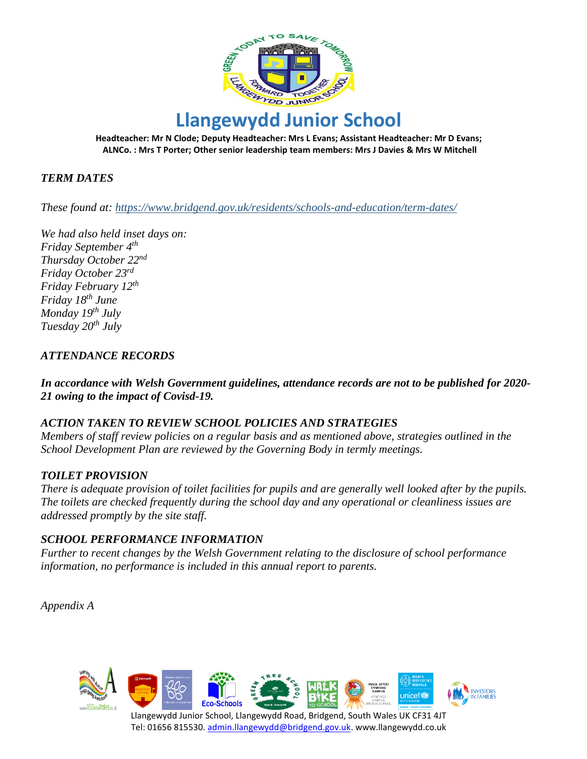

**Headteacher: Mr N Clode; Deputy Headteacher: Mrs L Evans; Assistant Headteacher: Mr D Evans; ALNCo. : Mrs T Porter; Other senior leadership team members: Mrs J Davies & Mrs W Mitchell**

#### *TERM DATES*

*These found at: https://www.bridgend.gov.uk/residents/schools-and-education/term-dates/*

*We had also held inset days on: Friday September 4th Thursday October 22nd Friday October 23rd Friday February 12th Friday 18th June Monday 19th July Tuesday 20th July*

#### *ATTENDANCE RECORDS*

*In accordance with Welsh Government guidelines, attendance records are not to be published for 2020- 21 owing to the impact of Covisd-19.*

#### *ACTION TAKEN TO REVIEW SCHOOL POLICIES AND STRATEGIES*

*Members of staff review policies on a regular basis and as mentioned above, strategies outlined in the School Development Plan are reviewed by the Governing Body in termly meetings.*

#### *TOILET PROVISION*

*There is adequate provision of toilet facilities for pupils and are generally well looked after by the pupils. The toilets are checked frequently during the school day and any operational or cleanliness issues are addressed promptly by the site staff.*

#### *SCHOOL PERFORMANCE INFORMATION*

*Further to recent changes by the Welsh Government relating to the disclosure of school performance information, no performance is included in this annual report to parents.*

*Appendix A*

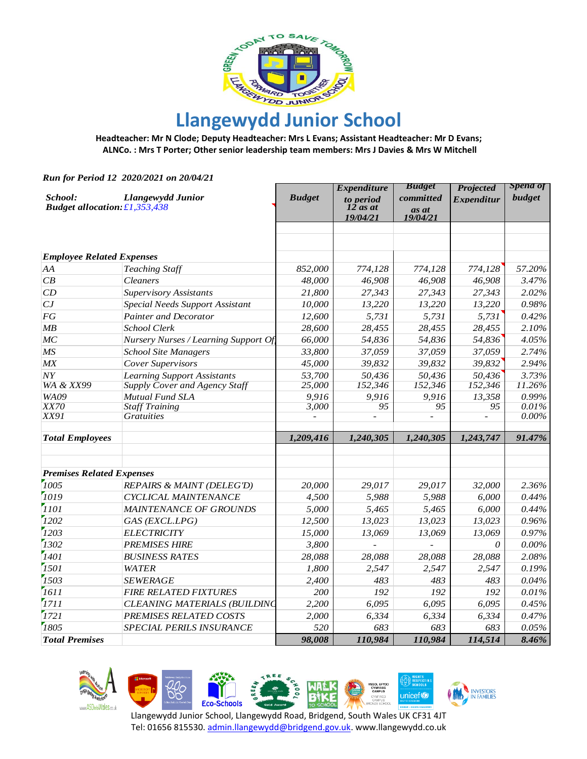

**Headteacher: Mr N Clode; Deputy Headteacher: Mrs L Evans; Assistant Headteacher: Mr D Evans; ALNCo. : Mrs T Porter; Other senior leadership team members: Mrs J Davies & Mrs W Mitchell**

*Run for Period 12 2020/2021 on 20/04/21*

|                                      |                                                                                                                                                                                                                                                                                                                                                                                                                                                                                                                                                                            | <b>Expenditure</b>                                                                                                                                                    | <b>Budget</b>                                                                                                                                                               | <b>Projected</b>                                                                                                                                                           | Spend of                                                                                                                                                |
|--------------------------------------|----------------------------------------------------------------------------------------------------------------------------------------------------------------------------------------------------------------------------------------------------------------------------------------------------------------------------------------------------------------------------------------------------------------------------------------------------------------------------------------------------------------------------------------------------------------------------|-----------------------------------------------------------------------------------------------------------------------------------------------------------------------|-----------------------------------------------------------------------------------------------------------------------------------------------------------------------------|----------------------------------------------------------------------------------------------------------------------------------------------------------------------------|---------------------------------------------------------------------------------------------------------------------------------------------------------|
| <b>Llangewydd Junior</b>             | <b>Budget</b>                                                                                                                                                                                                                                                                                                                                                                                                                                                                                                                                                              | to period                                                                                                                                                             | committed                                                                                                                                                                   | <b>Expenditur</b>                                                                                                                                                          | budget                                                                                                                                                  |
|                                      |                                                                                                                                                                                                                                                                                                                                                                                                                                                                                                                                                                            |                                                                                                                                                                       | as at                                                                                                                                                                       |                                                                                                                                                                            |                                                                                                                                                         |
|                                      |                                                                                                                                                                                                                                                                                                                                                                                                                                                                                                                                                                            |                                                                                                                                                                       |                                                                                                                                                                             |                                                                                                                                                                            |                                                                                                                                                         |
|                                      |                                                                                                                                                                                                                                                                                                                                                                                                                                                                                                                                                                            |                                                                                                                                                                       |                                                                                                                                                                             |                                                                                                                                                                            |                                                                                                                                                         |
|                                      |                                                                                                                                                                                                                                                                                                                                                                                                                                                                                                                                                                            |                                                                                                                                                                       |                                                                                                                                                                             |                                                                                                                                                                            |                                                                                                                                                         |
|                                      |                                                                                                                                                                                                                                                                                                                                                                                                                                                                                                                                                                            |                                                                                                                                                                       |                                                                                                                                                                             |                                                                                                                                                                            |                                                                                                                                                         |
|                                      |                                                                                                                                                                                                                                                                                                                                                                                                                                                                                                                                                                            |                                                                                                                                                                       |                                                                                                                                                                             |                                                                                                                                                                            | 57.20%                                                                                                                                                  |
|                                      |                                                                                                                                                                                                                                                                                                                                                                                                                                                                                                                                                                            |                                                                                                                                                                       |                                                                                                                                                                             |                                                                                                                                                                            | 3.47%                                                                                                                                                   |
|                                      |                                                                                                                                                                                                                                                                                                                                                                                                                                                                                                                                                                            |                                                                                                                                                                       |                                                                                                                                                                             |                                                                                                                                                                            | 2.02%                                                                                                                                                   |
|                                      |                                                                                                                                                                                                                                                                                                                                                                                                                                                                                                                                                                            |                                                                                                                                                                       |                                                                                                                                                                             |                                                                                                                                                                            | 0.98%                                                                                                                                                   |
|                                      |                                                                                                                                                                                                                                                                                                                                                                                                                                                                                                                                                                            |                                                                                                                                                                       |                                                                                                                                                                             |                                                                                                                                                                            | 0.42%                                                                                                                                                   |
| School Clerk                         |                                                                                                                                                                                                                                                                                                                                                                                                                                                                                                                                                                            |                                                                                                                                                                       |                                                                                                                                                                             |                                                                                                                                                                            | 2.10%                                                                                                                                                   |
| Nursery Nurses / Learning Support Of | 66,000                                                                                                                                                                                                                                                                                                                                                                                                                                                                                                                                                                     | 54,836                                                                                                                                                                | 54,836                                                                                                                                                                      | 54,836                                                                                                                                                                     | 4.05%                                                                                                                                                   |
| <b>School Site Managers</b>          | 33,800                                                                                                                                                                                                                                                                                                                                                                                                                                                                                                                                                                     | 37,059                                                                                                                                                                | 37,059                                                                                                                                                                      | 37,059                                                                                                                                                                     | 2.74%                                                                                                                                                   |
| Cover Supervisors                    | 45,000                                                                                                                                                                                                                                                                                                                                                                                                                                                                                                                                                                     | 39,832                                                                                                                                                                | 39,832                                                                                                                                                                      | 39,832                                                                                                                                                                     | 2.94%                                                                                                                                                   |
| <b>Learning Support Assistants</b>   | 53,700                                                                                                                                                                                                                                                                                                                                                                                                                                                                                                                                                                     | 50,436                                                                                                                                                                | 50,436                                                                                                                                                                      | 50,436                                                                                                                                                                     | 3.73%                                                                                                                                                   |
| <b>Supply Cover and Agency Staff</b> | 25,000                                                                                                                                                                                                                                                                                                                                                                                                                                                                                                                                                                     | 152,346                                                                                                                                                               | 152,346                                                                                                                                                                     | 152,346                                                                                                                                                                    | 11.26%                                                                                                                                                  |
| Mutual Fund SLA                      | 9,916                                                                                                                                                                                                                                                                                                                                                                                                                                                                                                                                                                      | 9,916                                                                                                                                                                 | 9,916                                                                                                                                                                       | 13,358                                                                                                                                                                     | 0.99%                                                                                                                                                   |
|                                      |                                                                                                                                                                                                                                                                                                                                                                                                                                                                                                                                                                            | 95                                                                                                                                                                    |                                                                                                                                                                             |                                                                                                                                                                            | 0.01%                                                                                                                                                   |
|                                      |                                                                                                                                                                                                                                                                                                                                                                                                                                                                                                                                                                            |                                                                                                                                                                       |                                                                                                                                                                             |                                                                                                                                                                            | $0.00\%$                                                                                                                                                |
|                                      | 1,209,416                                                                                                                                                                                                                                                                                                                                                                                                                                                                                                                                                                  | 1,240,305                                                                                                                                                             | 1,240,305                                                                                                                                                                   | 1,243,747                                                                                                                                                                  | 91.47%                                                                                                                                                  |
|                                      |                                                                                                                                                                                                                                                                                                                                                                                                                                                                                                                                                                            |                                                                                                                                                                       |                                                                                                                                                                             |                                                                                                                                                                            |                                                                                                                                                         |
|                                      |                                                                                                                                                                                                                                                                                                                                                                                                                                                                                                                                                                            |                                                                                                                                                                       |                                                                                                                                                                             |                                                                                                                                                                            |                                                                                                                                                         |
| <b>REPAIRS &amp; MAINT (DELEG'D)</b> | 20,000                                                                                                                                                                                                                                                                                                                                                                                                                                                                                                                                                                     | 29,017                                                                                                                                                                | 29,017                                                                                                                                                                      | 32,000                                                                                                                                                                     | 2.36%                                                                                                                                                   |
| CYCLICAL MAINTENANCE                 | 4,500                                                                                                                                                                                                                                                                                                                                                                                                                                                                                                                                                                      | 5,988                                                                                                                                                                 | 5,988                                                                                                                                                                       | 6,000                                                                                                                                                                      | 0.44%                                                                                                                                                   |
| <b>MAINTENANCE OF GROUNDS</b>        | 5,000                                                                                                                                                                                                                                                                                                                                                                                                                                                                                                                                                                      | 5,465                                                                                                                                                                 | 5,465                                                                                                                                                                       | 6,000                                                                                                                                                                      | 0.44%                                                                                                                                                   |
|                                      |                                                                                                                                                                                                                                                                                                                                                                                                                                                                                                                                                                            |                                                                                                                                                                       |                                                                                                                                                                             |                                                                                                                                                                            | 0.96%                                                                                                                                                   |
|                                      |                                                                                                                                                                                                                                                                                                                                                                                                                                                                                                                                                                            |                                                                                                                                                                       |                                                                                                                                                                             |                                                                                                                                                                            | 0.97%                                                                                                                                                   |
|                                      |                                                                                                                                                                                                                                                                                                                                                                                                                                                                                                                                                                            |                                                                                                                                                                       |                                                                                                                                                                             | 0                                                                                                                                                                          | $0.00\%$                                                                                                                                                |
|                                      |                                                                                                                                                                                                                                                                                                                                                                                                                                                                                                                                                                            |                                                                                                                                                                       |                                                                                                                                                                             |                                                                                                                                                                            | 2.08%                                                                                                                                                   |
|                                      |                                                                                                                                                                                                                                                                                                                                                                                                                                                                                                                                                                            |                                                                                                                                                                       |                                                                                                                                                                             |                                                                                                                                                                            | 0.19%                                                                                                                                                   |
|                                      |                                                                                                                                                                                                                                                                                                                                                                                                                                                                                                                                                                            |                                                                                                                                                                       |                                                                                                                                                                             |                                                                                                                                                                            | 0.04%                                                                                                                                                   |
|                                      |                                                                                                                                                                                                                                                                                                                                                                                                                                                                                                                                                                            |                                                                                                                                                                       |                                                                                                                                                                             |                                                                                                                                                                            | 0.01%                                                                                                                                                   |
|                                      |                                                                                                                                                                                                                                                                                                                                                                                                                                                                                                                                                                            |                                                                                                                                                                       |                                                                                                                                                                             |                                                                                                                                                                            | 0.45%                                                                                                                                                   |
|                                      |                                                                                                                                                                                                                                                                                                                                                                                                                                                                                                                                                                            |                                                                                                                                                                       |                                                                                                                                                                             |                                                                                                                                                                            | 0.47%                                                                                                                                                   |
|                                      |                                                                                                                                                                                                                                                                                                                                                                                                                                                                                                                                                                            |                                                                                                                                                                       |                                                                                                                                                                             |                                                                                                                                                                            | 0.05%                                                                                                                                                   |
|                                      |                                                                                                                                                                                                                                                                                                                                                                                                                                                                                                                                                                            |                                                                                                                                                                       |                                                                                                                                                                             |                                                                                                                                                                            | $8.46\%$                                                                                                                                                |
|                                      | <b>Budget allocation: £1,353,438</b><br><b>Employee Related Expenses</b><br><b>Teaching Staff</b><br>Cleaners<br><b>Supervisory Assistants</b><br><b>Special Needs Support Assistant</b><br><b>Painter and Decorator</b><br><b>Staff Training</b><br><b>Gratuities</b><br><b>Premises Related Expenses</b><br>GAS (EXCL.LPG)<br><b>ELECTRICITY</b><br><b>PREMISES HIRE</b><br><b>BUSINESS RATES</b><br><b>WATER</b><br><b>SEWERAGE</b><br><b>FIRE RELATED FIXTURES</b><br><b>CLEANING MATERIALS (BUILDING</b><br><b>PREMISES RELATED COSTS</b><br>SPECIAL PERILS INSURANCE | 852,000<br>48,000<br>21,800<br>10,000<br>12,600<br>28,600<br>3,000<br>12,500<br>15,000<br>3,800<br>28,088<br>1,800<br>2,400<br>200<br>2,200<br>2,000<br>520<br>98,008 | $12$ as at<br>19/04/21<br>774,128<br>46,908<br>27,343<br>13,220<br>5,731<br>28,455<br>13,023<br>13,069<br>28,088<br>2,547<br>483<br>192<br>6,095<br>6,334<br>683<br>110,984 | <i>19/04/21</i><br>774,128<br>46,908<br>27,343<br>13,220<br>5,731<br>28,455<br>95<br>13,023<br>13,069<br>28,088<br>2,547<br>483<br>192<br>6,095<br>6,334<br>683<br>110,984 | 774,128<br>46,908<br>27,343<br>13,220<br>5,731<br>28,455<br>95<br>13,023<br>13,069<br>28,088<br>2,547<br>483<br>192<br>6,095<br>6,334<br>683<br>114,514 |











unicef<sup>®</sup>